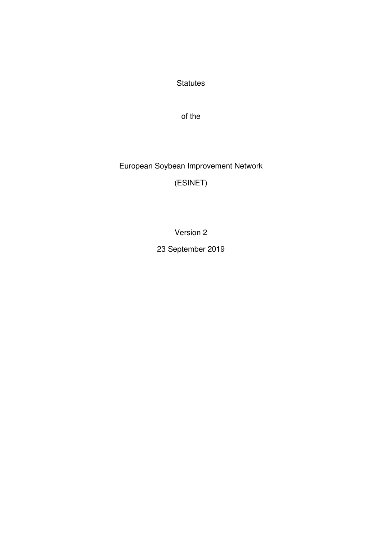**Statutes** 

of the

European Soybean Improvement Network

(ESINET)

Version 2

23 September 2019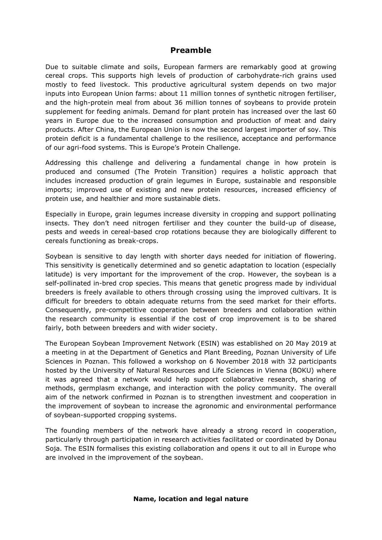# **Preamble**

Due to suitable climate and soils, European farmers are remarkably good at growing cereal crops. This supports high levels of production of carbohydrate-rich grains used mostly to feed livestock. This productive agricultural system depends on two major inputs into European Union farms: about 11 million tonnes of synthetic nitrogen fertiliser, and the high-protein meal from about 36 million tonnes of soybeans to provide protein supplement for feeding animals. Demand for plant protein has increased over the last 60 years in Europe due to the increased consumption and production of meat and dairy products. After China, the European Union is now the second largest importer of soy. This protein deficit is a fundamental challenge to the resilience, acceptance and performance of our agri-food systems. This is Europe's Protein Challenge.

Addressing this challenge and delivering a fundamental change in how protein is produced and consumed (The Protein Transition) requires a holistic approach that includes increased production of grain legumes in Europe, sustainable and responsible imports; improved use of existing and new protein resources, increased efficiency of protein use, and healthier and more sustainable diets.

Especially in Europe, grain legumes increase diversity in cropping and support pollinating insects. They don't need nitrogen fertiliser and they counter the build-up of disease, pests and weeds in cereal-based crop rotations because they are biologically different to cereals functioning as break-crops.

Soybean is sensitive to day length with shorter days needed for initiation of flowering. This sensitivity is genetically determined and so genetic adaptation to location (especially latitude) is very important for the improvement of the crop. However, the soybean is a self-pollinated in-bred crop species. This means that genetic progress made by individual breeders is freely available to others through crossing using the improved cultivars. It is difficult for breeders to obtain adequate returns from the seed market for their efforts. Consequently, pre-competitive cooperation between breeders and collaboration within the research community is essential if the cost of crop improvement is to be shared fairly, both between breeders and with wider society.

The European Soybean Improvement Network (ESIN) was established on 20 May 2019 at a meeting in at the Department of Genetics and Plant Breeding, Poznan University of Life Sciences in Poznan. This followed a workshop on 6 November 2018 with 32 participants hosted by the University of Natural Resources and Life Sciences in Vienna (BOKU) where it was agreed that a network would help support collaborative research, sharing of methods, germplasm exchange, and interaction with the policy community. The overall aim of the network confirmed in Poznan is to strengthen investment and cooperation in the improvement of soybean to increase the agronomic and environmental performance of soybean-supported cropping systems.

The founding members of the network have already a strong record in cooperation, particularly through participation in research activities facilitated or coordinated by Donau Soja. The ESIN formalises this existing collaboration and opens it out to all in Europe who are involved in the improvement of the soybean.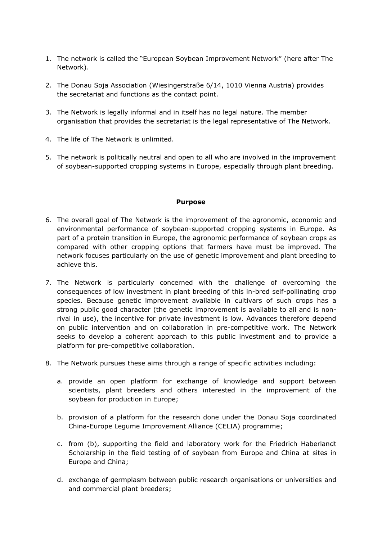- 1. The network is called the "European Soybean Improvement Network" (here after The Network).
- 2. The Donau Soja Association (Wiesingerstraße 6/14, 1010 Vienna Austria) provides the secretariat and functions as the contact point.
- 3. The Network is legally informal and in itself has no legal nature. The member organisation that provides the secretariat is the legal representative of The Network.
- 4. The life of The Network is unlimited.
- 5. The network is politically neutral and open to all who are involved in the improvement of soybean-supported cropping systems in Europe, especially through plant breeding.

### **Purpose**

- 6. The overall goal of The Network is the improvement of the agronomic, economic and environmental performance of soybean-supported cropping systems in Europe. As part of a protein transition in Europe, the agronomic performance of soybean crops as compared with other cropping options that farmers have must be improved. The network focuses particularly on the use of genetic improvement and plant breeding to achieve this.
- 7. The Network is particularly concerned with the challenge of overcoming the consequences of low investment in plant breeding of this in-bred self-pollinating crop species. Because genetic improvement available in cultivars of such crops has a strong public good character (the genetic improvement is available to all and is nonrival in use), the incentive for private investment is low. Advances therefore depend on public intervention and on collaboration in pre-competitive work. The Network seeks to develop a coherent approach to this public investment and to provide a platform for pre-competitive collaboration.
- 8. The Network pursues these aims through a range of specific activities including:
	- a. provide an open platform for exchange of knowledge and support between scientists, plant breeders and others interested in the improvement of the soybean for production in Europe;
	- b. provision of a platform for the research done under the Donau Soja coordinated China-Europe Legume Improvement Alliance (CELIA) programme;
	- c. from (b), supporting the field and laboratory work for the Friedrich Haberlandt Scholarship in the field testing of of soybean from Europe and China at sites in Europe and China;
	- d. exchange of germplasm between public research organisations or universities and and commercial plant breeders;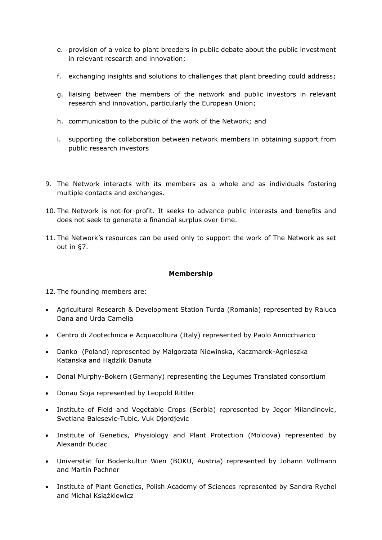- e. provision of a voice to plant breeders in public debate about the public investment in relevant research and innovation;
- f. exchanging insights and solutions to challenges that plant breeding could address;
- g. liaising between the members of the network and public investors in relevant research and innovation, particularly the European Union;
- h. communication to the public of the work of the Network; and
- i. supporting the collaboration between network members in obtaining support from public research investors
- 9. The Network interacts with its members as a whole and as individuals fostering multiple contacts and exchanges.
- 10. The Network is not-for-profit. It seeks to advance public interests and benefits and does not seek to generate a financial surplus over time.
- 11. The Network's resources can be used only to support the work of The Network as set out in §7.

### **Membership**

12. The founding members are:

- Agricultural Research & Development Station Turda (Romania) represented by Raluca Dana and Urda Camelia
- Centro di Zootechnica e Acquacoltura (Italy) represented by Paolo Annicchiarico
- Danko (Poland) represented by Małgorzata Niewinska, Kaczmarek-Agnieszka Katanska and Hądzlik Danuta
- Donal Murphy-Bokern (Germany) representing the Legumes Translated consortium
- Donau Soja represented by Leopold Rittler
- Institute of Field and Vegetable Crops (Serbia) represented by Jegor Milandinovic, Svetlana Balesevic-Tubic, Vuk Djordjevic
- Institute of Genetics, Physiology and Plant Protection (Moldova) represented by Alexandr Budac
- Universität für Bodenkultur Wien (BOKU, Austria) represented by Johann Vollmann and Martin Pachner
- Institute of Plant Genetics, Polish Academy of Sciences represented by Sandra Rychel and Michał Książkiewicz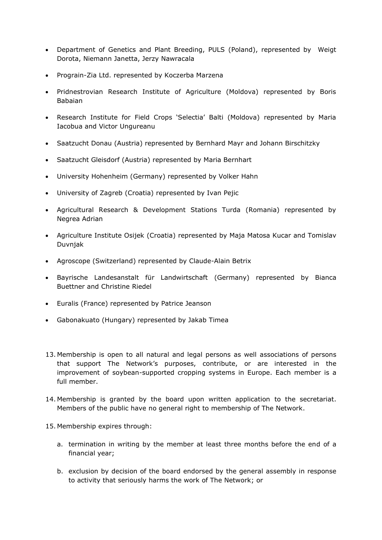- Department of Genetics and Plant Breeding, PULS (Poland), represented by Weigt Dorota, Niemann Janetta, Jerzy Nawracala
- Prograin-Zia Ltd. represented by Koczerba Marzena
- Pridnestrovian Research Institute of Agriculture (Moldova) represented by Boris Babaian
- Research Institute for Field Crops 'Selectia' Balti (Moldova) represented by Maria Iacobua and Victor Ungureanu
- Saatzucht Donau (Austria) represented by Bernhard Mayr and Johann Birschitzky
- Saatzucht Gleisdorf (Austria) represented by Maria Bernhart
- University Hohenheim (Germany) represented by Volker Hahn
- University of Zagreb (Croatia) represented by Ivan Pejic
- Agricultural Research & Development Stations Turda (Romania) represented by Negrea Adrian
- Agriculture Institute Osijek (Croatia) represented by Maja Matosa Kucar and Tomislav Duvnjak
- Agroscope (Switzerland) represented by Claude-Alain Betrix
- Bayrische Landesanstalt für Landwirtschaft (Germany) represented by Bianca Buettner and Christine Riedel
- Euralis (France) represented by Patrice Jeanson
- Gabonakuato (Hungary) represented by Jakab Timea
- 13. Membership is open to all natural and legal persons as well associations of persons that support The Network's purposes, contribute, or are interested in the improvement of soybean-supported cropping systems in Europe. Each member is a full member.
- 14. Membership is granted by the board upon written application to the secretariat. Members of the public have no general right to membership of The Network.
- 15. Membership expires through:
	- a. termination in writing by the member at least three months before the end of a financial year;
	- b. exclusion by decision of the board endorsed by the general assembly in response to activity that seriously harms the work of The Network; or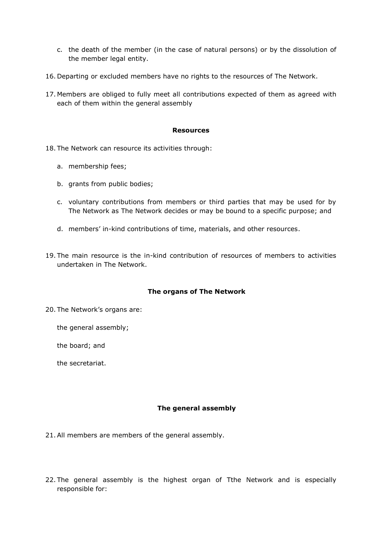- c. the death of the member (in the case of natural persons) or by the dissolution of the member legal entity.
- 16. Departing or excluded members have no rights to the resources of The Network.
- 17. Members are obliged to fully meet all contributions expected of them as agreed with each of them within the general assembly

#### **Resources**

- 18. The Network can resource its activities through:
	- a. membership fees;
	- b. grants from public bodies;
	- c. voluntary contributions from members or third parties that may be used for by The Network as The Network decides or may be bound to a specific purpose; and
	- d. members' in-kind contributions of time, materials, and other resources.
- 19. The main resource is the in-kind contribution of resources of members to activities undertaken in The Network.

### **The organs of The Network**

- 20. The Network's organs are:
	- the general assembly;
	- the board; and
	- the secretariat.

### **The general assembly**

- 21.All members are members of the general assembly.
- 22. The general assembly is the highest organ of Tthe Network and is especially responsible for: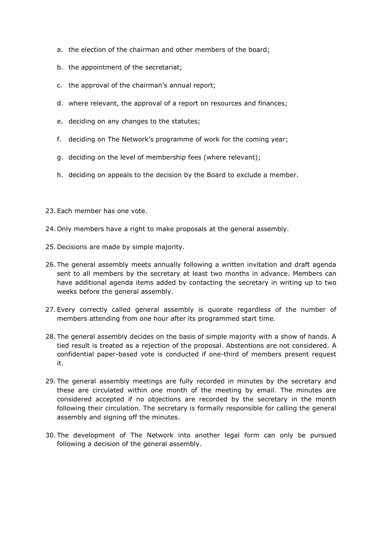- a. the election of the chairman and other members of the board;
- b. the appointment of the secretariat;
- c. the approval of the chairman's annual report;
- d. where relevant, the approval of a report on resources and finances;
- e. deciding on any changes to the statutes;
- f. deciding on The Network's programme of work for the coming year;
- g. deciding on the level of membership fees (where relevant);
- h. deciding on appeals to the decision by the Board to exclude a member.
- 23. Each member has one vote.
- 24. Only members have a right to make proposals at the general assembly.
- 25. Decisions are made by simple majority.
- 26. The general assembly meets annually following a written invitation and draft agenda sent to all members by the secretary at least two months in advance. Members can have additional agenda items added by contacting the secretary in writing up to two weeks before the general assembly.
- 27. Every correctly called general assembly is quorate regardless of the number of members attending from one hour after its programmed start time.
- 28. The general assembly decides on the basis of simple majority with a show of hands. A tied result is treated as a rejection of the proposal. Abstentions are not considered. A confidential paper-based vote is conducted if one-third of members present request it.
- 29. The general assembly meetings are fully recorded in minutes by the secretary and these are circulated within one month of the meeting by email. The minutes are considered accepted if no objections are recorded by the secretary in the month following their circulation. The secretary is formally responsible for calling the general assembly and signing off the minutes.
- 30. The development of The Network into another legal form can only be pursued following a decision of the general assembly.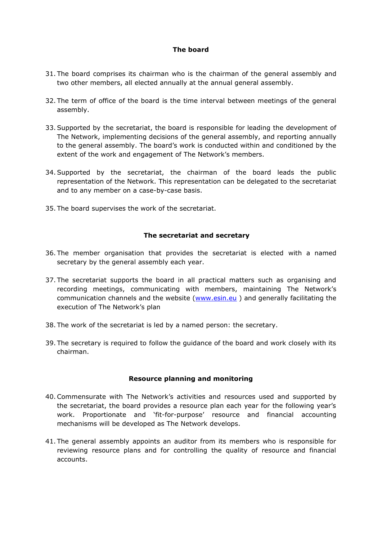# **The board**

- 31. The board comprises its chairman who is the chairman of the general assembly and two other members, all elected annually at the annual general assembly.
- 32. The term of office of the board is the time interval between meetings of the general assembly.
- 33.Supported by the secretariat, the board is responsible for leading the development of The Network, implementing decisions of the general assembly, and reporting annually to the general assembly. The board's work is conducted within and conditioned by the extent of the work and engagement of The Network's members.
- 34.Supported by the secretariat, the chairman of the board leads the public representation of the Network. This representation can be delegated to the secretariat and to any member on a case-by-case basis.
- 35. The board supervises the work of the secretariat.

## **The secretariat and secretary**

- 36. The member organisation that provides the secretariat is elected with a named secretary by the general assembly each year.
- 37. The secretariat supports the board in all practical matters such as organising and recording meetings, communicating with members, maintaining The Network's communication channels and the website [\(www.esin.eu](http://www.esin.eu/)) and generally facilitating the execution of The Network's plan
- 38. The work of the secretariat is led by a named person: the secretary.
- 39. The secretary is required to follow the guidance of the board and work closely with its chairman.

### **Resource planning and monitoring**

- 40.Commensurate with The Network's activities and resources used and supported by the secretariat, the board provides a resource plan each year for the following year's work. Proportionate and 'fit-for-purpose' resource and financial accounting mechanisms will be developed as The Network develops.
- 41. The general assembly appoints an auditor from its members who is responsible for reviewing resource plans and for controlling the quality of resource and financial accounts.